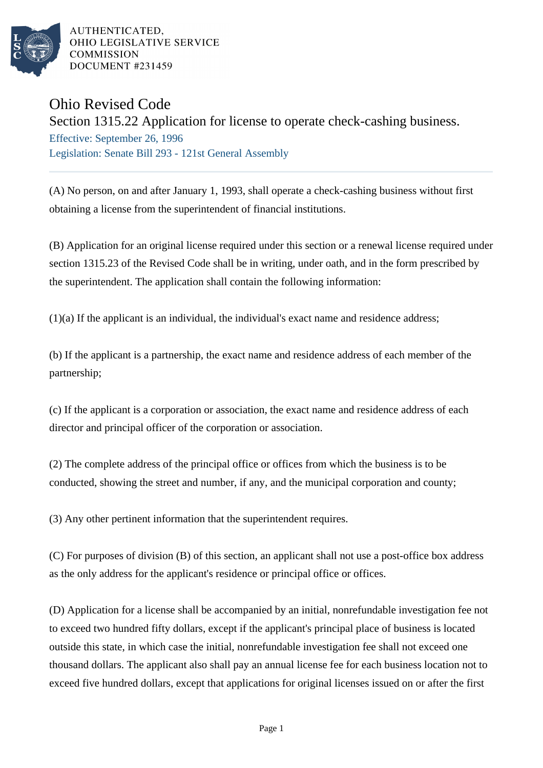

AUTHENTICATED, OHIO LEGISLATIVE SERVICE **COMMISSION DOCUMENT #231459** 

## Ohio Revised Code

Section 1315.22 Application for license to operate check-cashing business.

Effective: September 26, 1996 Legislation: Senate Bill 293 - 121st General Assembly

(A) No person, on and after January 1, 1993, shall operate a check-cashing business without first obtaining a license from the superintendent of financial institutions.

(B) Application for an original license required under this section or a renewal license required under section 1315.23 of the Revised Code shall be in writing, under oath, and in the form prescribed by the superintendent. The application shall contain the following information:

(1)(a) If the applicant is an individual, the individual's exact name and residence address;

(b) If the applicant is a partnership, the exact name and residence address of each member of the partnership;

(c) If the applicant is a corporation or association, the exact name and residence address of each director and principal officer of the corporation or association.

(2) The complete address of the principal office or offices from which the business is to be conducted, showing the street and number, if any, and the municipal corporation and county;

(3) Any other pertinent information that the superintendent requires.

(C) For purposes of division (B) of this section, an applicant shall not use a post-office box address as the only address for the applicant's residence or principal office or offices.

(D) Application for a license shall be accompanied by an initial, nonrefundable investigation fee not to exceed two hundred fifty dollars, except if the applicant's principal place of business is located outside this state, in which case the initial, nonrefundable investigation fee shall not exceed one thousand dollars. The applicant also shall pay an annual license fee for each business location not to exceed five hundred dollars, except that applications for original licenses issued on or after the first